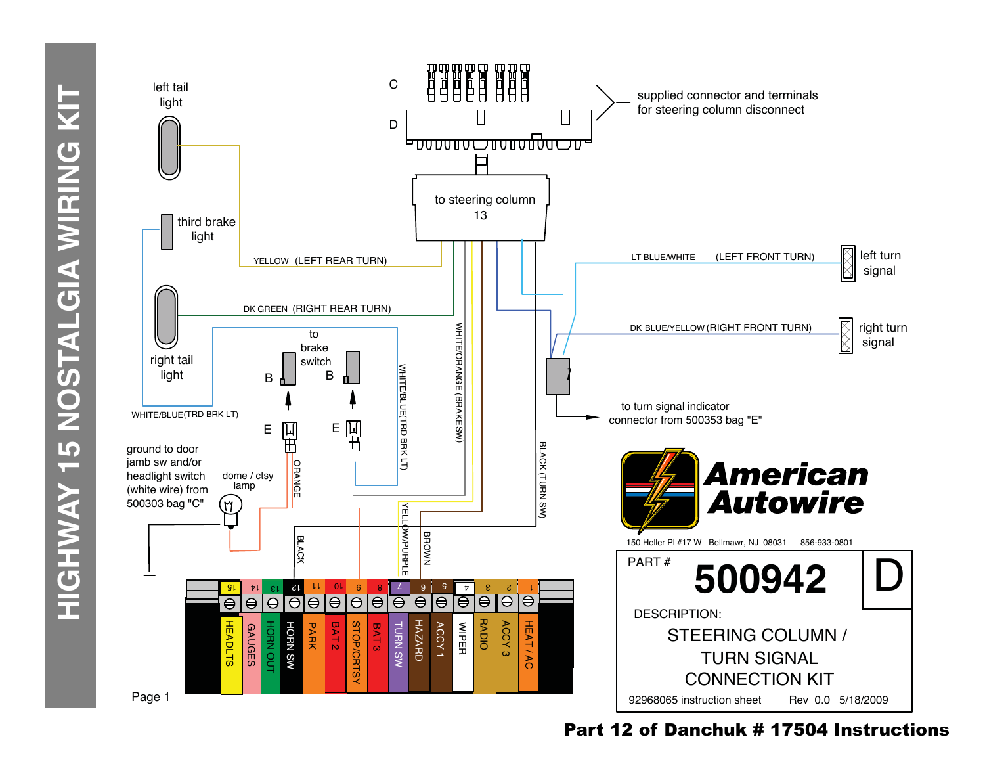

## Part 12 of Danchuk # 17504 Instructions